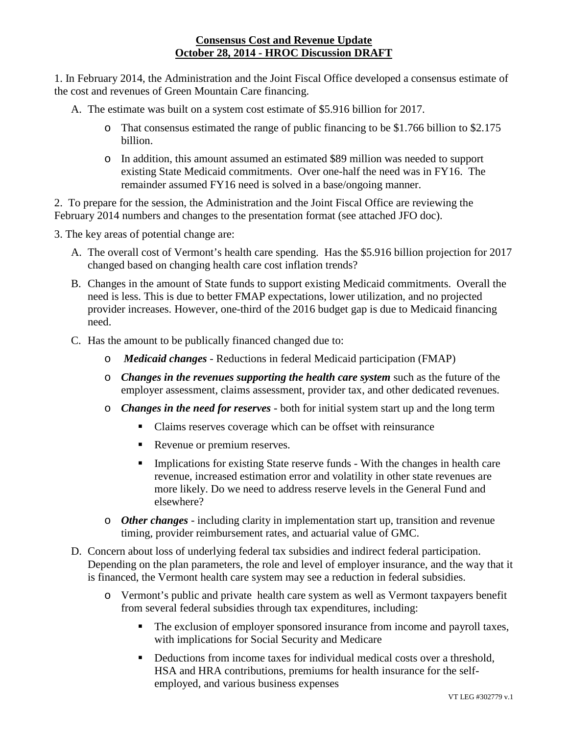## **Consensus Cost and Revenue Update October 28, 2014 - HROC Discussion DRAFT**

1. In February 2014, the Administration and the Joint Fiscal Office developed a consensus estimate of the cost and revenues of Green Mountain Care financing.

A. The estimate was built on a system cost estimate of \$5.916 billion for 2017.

- o That consensus estimated the range of public financing to be \$1.766 billion to \$2.175 billion.
- o In addition, this amount assumed an estimated \$89 million was needed to support existing State Medicaid commitments. Over one-half the need was in FY16. The remainder assumed FY16 need is solved in a base/ongoing manner.

2. To prepare for the session, the Administration and the Joint Fiscal Office are reviewing the February 2014 numbers and changes to the presentation format (see attached JFO doc).

3. The key areas of potential change are:

- A. The overall cost of Vermont's health care spending. Has the \$5.916 billion projection for 2017 changed based on changing health care cost inflation trends?
- B. Changes in the amount of State funds to support existing Medicaid commitments. Overall the need is less. This is due to better FMAP expectations, lower utilization, and no projected provider increases. However, one-third of the 2016 budget gap is due to Medicaid financing need.
- C. Has the amount to be publically financed changed due to:
	- o *Medicaid changes* Reductions in federal Medicaid participation (FMAP)
	- o *Changes in the revenues supporting the health care system* such as the future of the employer assessment, claims assessment, provider tax, and other dedicated revenues.
	- o *Changes in the need for reserves* both for initial system start up and the long term
		- Claims reserves coverage which can be offset with reinsurance
		- Revenue or premium reserves.
		- **Implications for existing State reserve funds With the changes in health care** revenue, increased estimation error and volatility in other state revenues are more likely. Do we need to address reserve levels in the General Fund and elsewhere?
	- o *Other changes* including clarity in implementation start up, transition and revenue timing, provider reimbursement rates, and actuarial value of GMC.
- D. Concern about loss of underlying federal tax subsidies and indirect federal participation. Depending on the plan parameters, the role and level of employer insurance, and the way that it is financed, the Vermont health care system may see a reduction in federal subsidies.
	- o Vermont's public and private health care system as well as Vermont taxpayers benefit from several federal subsidies through tax expenditures, including:
		- The exclusion of employer sponsored insurance from income and payroll taxes, with implications for Social Security and Medicare
		- Deductions from income taxes for individual medical costs over a threshold, HSA and HRA contributions, premiums for health insurance for the selfemployed, and various business expenses